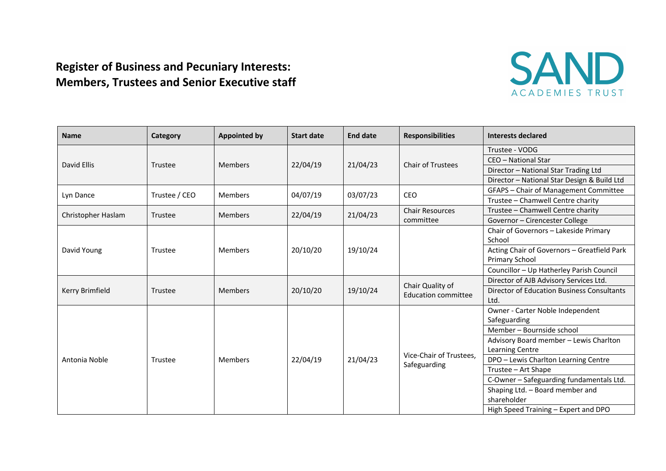## **Register of Business and Pecuniary Interests: Members, Trustees and Senior Executive staff**



| <b>Name</b>        | Category      | <b>Appointed by</b> | <b>Start date</b> | <b>End date</b> | <b>Responsibilities</b>                 | <b>Interests declared</b>                   |
|--------------------|---------------|---------------------|-------------------|-----------------|-----------------------------------------|---------------------------------------------|
| David Ellis        | Trustee       | <b>Members</b>      | 22/04/19          | 21/04/23        | <b>Chair of Trustees</b>                | Trustee - VODG                              |
|                    |               |                     |                   |                 |                                         | CEO - National Star                         |
|                    |               |                     |                   |                 |                                         | Director - National Star Trading Ltd        |
|                    |               |                     |                   |                 |                                         | Director - National Star Design & Build Ltd |
| Lyn Dance          | Trustee / CEO | <b>Members</b>      | 04/07/19          | 03/07/23        | CEO                                     | GFAPS - Chair of Management Committee       |
|                    |               |                     |                   |                 |                                         | Trustee - Chamwell Centre charity           |
| Christopher Haslam | Trustee       | <b>Members</b>      | 22/04/19          | 21/04/23        | <b>Chair Resources</b><br>committee     | Trustee - Chamwell Centre charity           |
|                    |               |                     |                   |                 |                                         | Governor - Cirencester College              |
| David Young        | Trustee       | Members             | 20/10/20          | 19/10/24        |                                         | Chair of Governors - Lakeside Primary       |
|                    |               |                     |                   |                 |                                         | School                                      |
|                    |               |                     |                   |                 |                                         | Acting Chair of Governors - Greatfield Park |
|                    |               |                     |                   |                 |                                         | Primary School                              |
|                    |               |                     |                   |                 |                                         | Councillor - Up Hatherley Parish Council    |
| Kerry Brimfield    | Trustee       | <b>Members</b>      | 20/10/20          | 19/10/24        | Chair Quality of<br>Education committee | Director of AJB Advisory Services Ltd.      |
|                    |               |                     |                   |                 |                                         | Director of Education Business Consultants  |
|                    |               |                     |                   |                 |                                         | Ltd.                                        |
| Antonia Noble      | Trustee       | <b>Members</b>      | 22/04/19          | 21/04/23        | Vice-Chair of Trustees,<br>Safeguarding | Owner - Carter Noble Independent            |
|                    |               |                     |                   |                 |                                         | Safeguarding                                |
|                    |               |                     |                   |                 |                                         | Member - Bournside school                   |
|                    |               |                     |                   |                 |                                         | Advisory Board member - Lewis Charlton      |
|                    |               |                     |                   |                 |                                         | Learning Centre                             |
|                    |               |                     |                   |                 |                                         | DPO - Lewis Charlton Learning Centre        |
|                    |               |                     |                   |                 |                                         | Trustee - Art Shape                         |
|                    |               |                     |                   |                 |                                         | C-Owner - Safeguarding fundamentals Ltd.    |
|                    |               |                     |                   |                 |                                         | Shaping Ltd. - Board member and             |
|                    |               |                     |                   |                 |                                         | shareholder                                 |
|                    |               |                     |                   |                 |                                         | High Speed Training - Expert and DPO        |